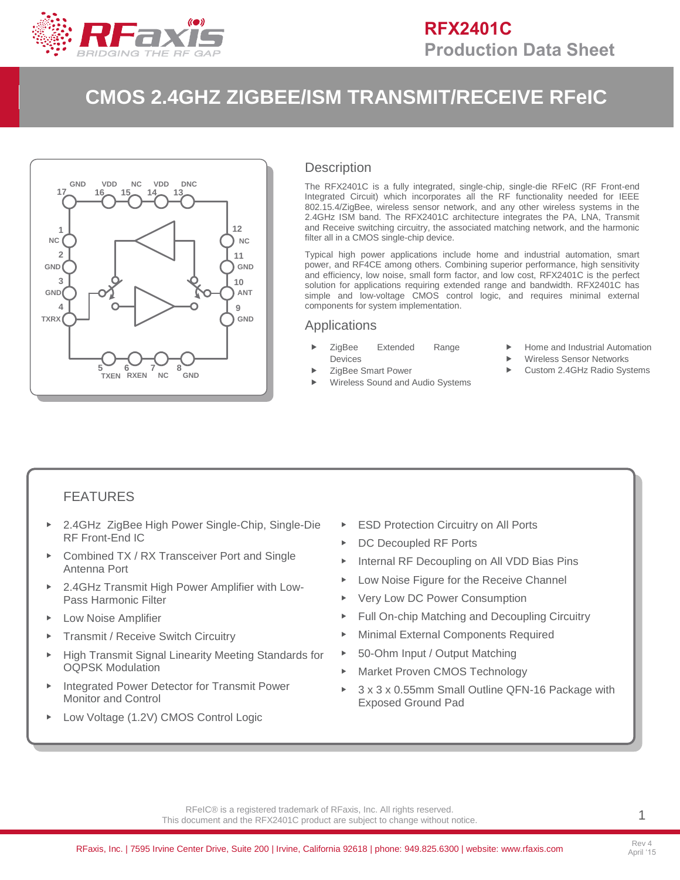

# **CMOS 2.4GHZ ZIGBEE/ISM TRANSMIT/RECEIVE RFeIC**



#### **Description**

The RFX2401C is a fully integrated, single-chip, single-die RFeIC (RF Front-end Integrated Circuit) which incorporates all the RF functionality needed for IEEE 802.15.4/ZigBee, wireless sensor network, and any other wireless systems in the 2.4GHz ISM band. The RFX2401C architecture integrates the PA, LNA, Transmit and Receive switching circuitry, the associated matching network, and the harmonic filter all in a CMOS single-chip device.

Typical high power applications include home and industrial automation, smart power, and RF4CE among others. Combining superior performance, high sensitivity and efficiency, low noise, small form factor, and low cost, RFX2401C is the perfect solution for applications requiring extended range and bandwidth. RFX2401C has simple and low-voltage CMOS control logic, and requires minimal external components for system implementation.

#### **Applications**

- ZigBee Extended Range Devices
- ZigBee Smart Power
- Wireless Sound and Audio Systems
- Home and Industrial Automation
- Wireless Sensor Networks
- Custom 2.4GHz Radio Systems

### FEATURES

- 2.4GHz ZigBee High Power Single-Chip, Single-Die RF Front-End IC
- Combined TX / RX Transceiver Port and Single Antenna Port
- 2.4GHz Transmit High Power Amplifier with Low-Pass Harmonic Filter
- ► Low Noise Amplifier
- Transmit / Receive Switch Circuitry
- ▶ High Transmit Signal Linearity Meeting Standards for OQPSK Modulation
- Integrated Power Detector for Transmit Power Monitor and Control
- Low Voltage (1.2V) CMOS Control Logic
- ESD Protection Circuitry on All Ports
- DC Decoupled RF Ports
- Internal RF Decoupling on All VDD Bias Pins
- Low Noise Figure for the Receive Channel
- Very Low DC Power Consumption
- Full On-chip Matching and Decoupling Circuitry
- Minimal External Components Required
- 50-Ohm Input / Output Matching
- Market Proven CMOS Technology
- 3 x 3 x 0.55mm Small Outline QFN-16 Package with Exposed Ground Pad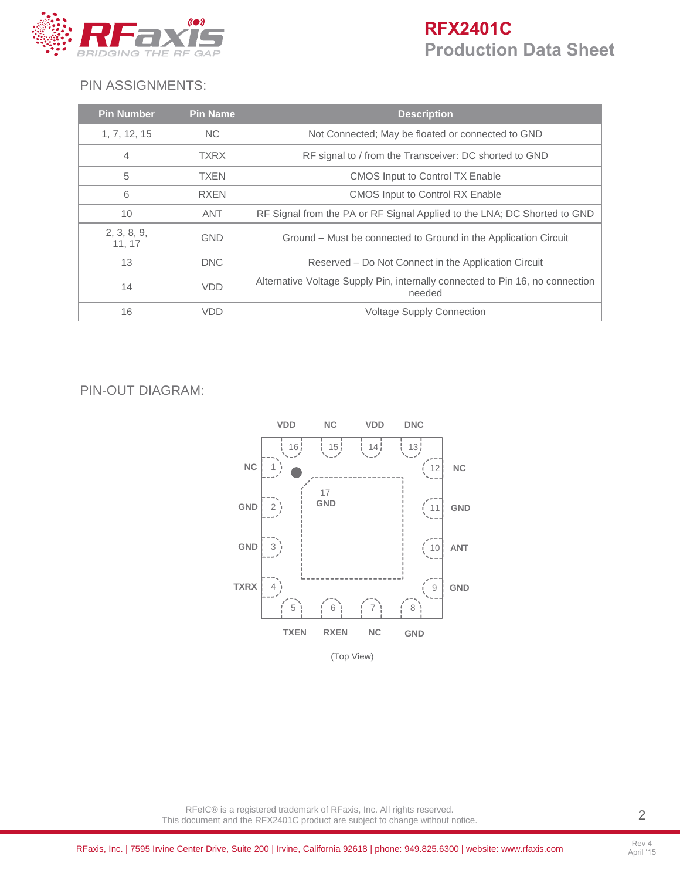

#### PIN ASSIGNMENTS:

| <b>Pin Number</b>     | <b>Pin Name</b> | <b>Description</b>                                                                      |  |
|-----------------------|-----------------|-----------------------------------------------------------------------------------------|--|
| 1, 7, 12, 15          | NC.             | Not Connected; May be floated or connected to GND                                       |  |
| 4                     | <b>TXRX</b>     | RF signal to / from the Transceiver: DC shorted to GND                                  |  |
| 5                     | <b>TXEN</b>     | <b>CMOS Input to Control TX Enable</b>                                                  |  |
| 6                     | <b>RXEN</b>     | <b>CMOS Input to Control RX Enable</b>                                                  |  |
| 10                    | ANT             | RF Signal from the PA or RF Signal Applied to the LNA; DC Shorted to GND                |  |
| 2, 3, 8, 9,<br>11, 17 | <b>GND</b>      | Ground – Must be connected to Ground in the Application Circuit                         |  |
| 13                    | <b>DNC</b>      | Reserved – Do Not Connect in the Application Circuit                                    |  |
| 14                    | <b>VDD</b>      | Alternative Voltage Supply Pin, internally connected to Pin 16, no connection<br>needed |  |
| 16                    | <b>VDD</b>      | <b>Voltage Supply Connection</b>                                                        |  |

#### PIN-OUT DIAGRAM:

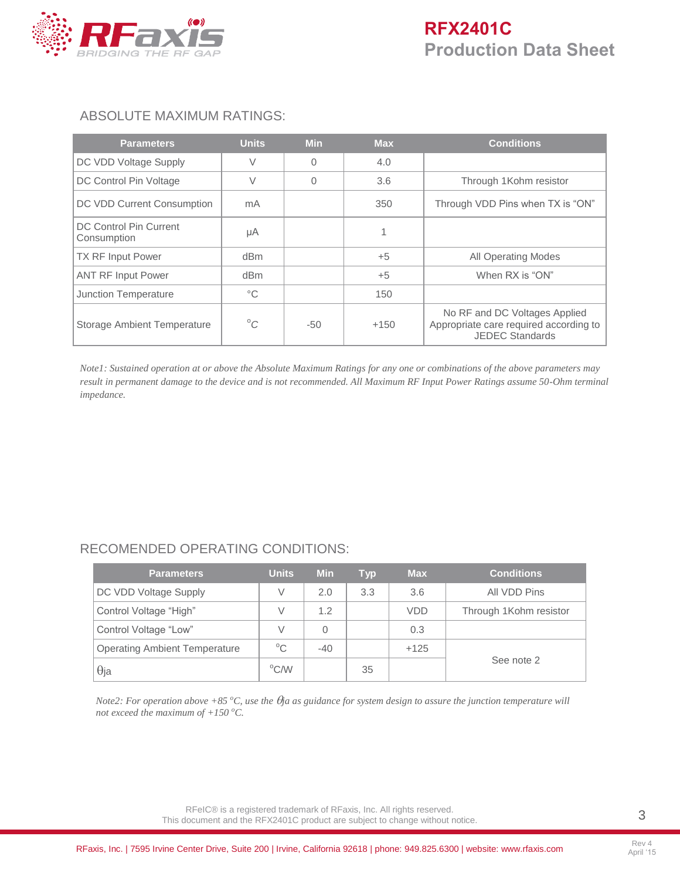

#### ABSOLUTE MAXIMUM RATINGS:

| <b>Parameters</b>                     | <b>Units</b>    | <b>Min</b> | <b>Max</b> | <b>Conditions</b>                                                                                 |  |
|---------------------------------------|-----------------|------------|------------|---------------------------------------------------------------------------------------------------|--|
| DC VDD Voltage Supply                 | V               | $\Omega$   | 4.0        |                                                                                                   |  |
| DC Control Pin Voltage                | V               | $\Omega$   | 3.6        | Through 1Kohm resistor                                                                            |  |
| DC VDD Current Consumption            | mA              |            | 350        | Through VDD Pins when TX is "ON"                                                                  |  |
| DC Control Pin Current<br>Consumption | μA              |            |            |                                                                                                   |  |
| <b>TX RF Input Power</b>              | dB <sub>m</sub> |            | $+5$       | <b>All Operating Modes</b>                                                                        |  |
| <b>ANT RF Input Power</b>             | dB <sub>m</sub> |            | $+5$       | When RX is "ON"                                                                                   |  |
| <b>Junction Temperature</b>           | $^{\circ}C$     |            | 150        |                                                                                                   |  |
| <b>Storage Ambient Temperature</b>    | $^{\circ}C$     | $-50$      | $+150$     | No RF and DC Voltages Applied<br>Appropriate care required according to<br><b>JEDEC Standards</b> |  |

*Note1: Sustained operation at or above the Absolute Maximum Ratings for any one or combinations of the above parameters may result in permanent damage to the device and is not recommended. All Maximum RF Input Power Ratings assume 50-Ohm terminal impedance.*

#### RECOMENDED OPERATING CONDITIONS:

| <b>Parameters</b>                    | <b>Units</b>       | <b>Min</b> | <b>Typ</b> | <b>Max</b> | <b>Conditions</b>      |
|--------------------------------------|--------------------|------------|------------|------------|------------------------|
| DC VDD Voltage Supply                | V                  | 2.0        | 3.3        | 3.6        | All VDD Pins           |
| Control Voltage "High"               | V                  | 1.2        |            | <b>VDD</b> | Through 1Kohm resistor |
| Control Voltage "Low"                | V                  | 0          |            | 0.3        |                        |
| <b>Operating Ambient Temperature</b> | $^{\circ}$ C       | $-40$      |            | $+125$     |                        |
| $\theta$ ja                          | $\rm{^{\circ}$ C/W |            | 35         |            | See note 2             |

*Note2: For operation above +85 <sup>o</sup>C, use the ja as guidance for system design to assure the junction temperature will not exceed the maximum of +150 <sup>o</sup>C.*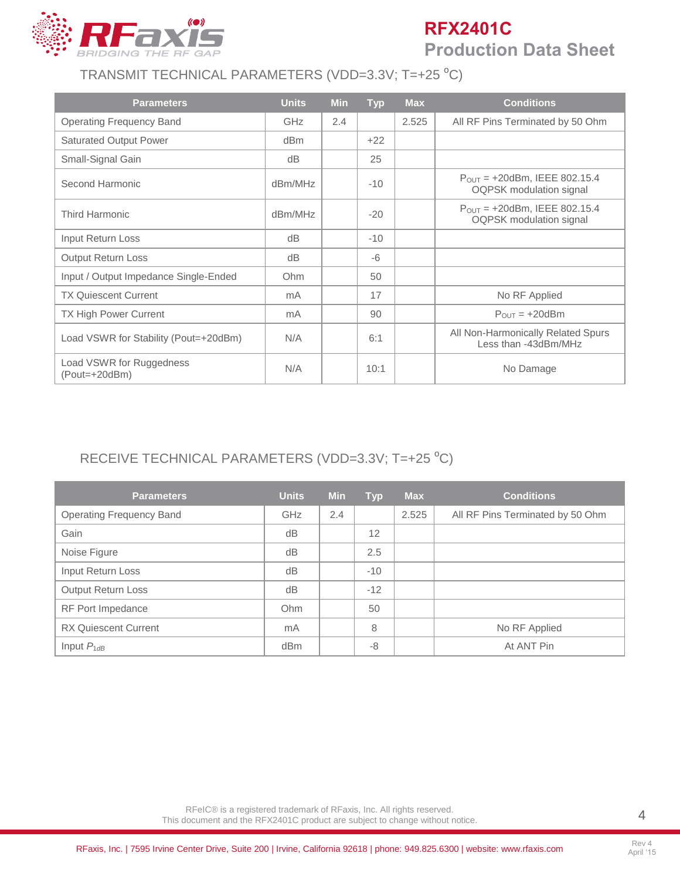

### TRANSMIT TECHNICAL PARAMETERS (VDD=3.3V; T=+25 °C)

| <b>Parameters</b>                           | <b>Units</b> | <b>Min</b> | <b>Typ</b> | <b>Max</b> | <b>Conditions</b>                                             |
|---------------------------------------------|--------------|------------|------------|------------|---------------------------------------------------------------|
| <b>Operating Frequency Band</b>             | <b>GHz</b>   | 2.4        |            | 2.525      | All RF Pins Terminated by 50 Ohm                              |
| <b>Saturated Output Power</b>               | dBm          |            | $+22$      |            |                                                               |
| Small-Signal Gain                           | dB           |            | 25         |            |                                                               |
| Second Harmonic                             | dBm/MHz      |            | $-10$      |            | $P_{OUT} = +20$ dBm, IEEE 802.15.4<br>OQPSK modulation signal |
| <b>Third Harmonic</b>                       | dBm/MHz      |            | $-20$      |            | $P_{OUT} = +20$ dBm, IEEE 802.15.4<br>OQPSK modulation signal |
| Input Return Loss                           | dB           |            | $-10$      |            |                                                               |
| Output Return Loss                          | dB           |            | -6         |            |                                                               |
| Input / Output Impedance Single-Ended       | Ohm          |            | 50         |            |                                                               |
| <b>TX Quiescent Current</b>                 | mA           |            | 17         |            | No RF Applied                                                 |
| TX High Power Current                       | mA           |            | 90         |            | $P_{OUT} = +20dBm$                                            |
| Load VSWR for Stability (Pout=+20dBm)       | N/A          |            | 6:1        |            | All Non-Harmonically Related Spurs<br>Less than -43dBm/MHz    |
| Load VSWR for Ruggedness<br>$(Pout=+20dBm)$ | N/A          |            | 10:1       |            | No Damage                                                     |

### RECEIVE TECHNICAL PARAMETERS (VDD=3.3V; T=+25 °C)

| <b>Parameters</b>               | <b>Units</b> | <b>Min</b> | Typ   | <b>Max</b> | <b>Conditions</b>                |
|---------------------------------|--------------|------------|-------|------------|----------------------------------|
| <b>Operating Frequency Band</b> | GHz          | 2.4        |       | 2.525      | All RF Pins Terminated by 50 Ohm |
| Gain                            | dB           |            | 12    |            |                                  |
| Noise Figure                    | dB           |            | 2.5   |            |                                  |
| Input Return Loss               | dB           |            | $-10$ |            |                                  |
| Output Return Loss              | dB           |            | $-12$ |            |                                  |
| RF Port Impedance               | Ohm          |            | 50    |            |                                  |
| <b>RX Quiescent Current</b>     | mA           |            | 8     |            | No RF Applied                    |
| Input $P_{1dB}$                 | dBm          |            | -8    |            | At ANT Pin                       |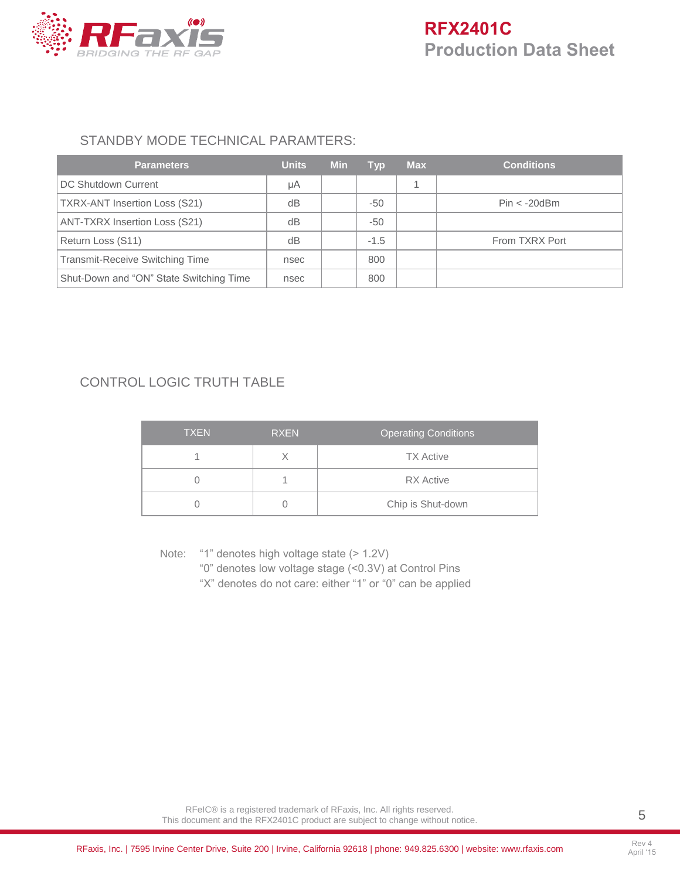

#### STANDBY MODE TECHNICAL PARAMTERS:

| <b>Parameters</b>                       | <b>Units</b> | <b>Min</b> | Typ    | <b>Max</b> | <b>Conditions</b> |
|-----------------------------------------|--------------|------------|--------|------------|-------------------|
| DC Shutdown Current                     | μA           |            |        |            |                   |
| <b>TXRX-ANT Insertion Loss (S21)</b>    | dB           |            | $-50$  |            | $Pin < -20dBm$    |
| ANT-TXRX Insertion Loss (S21)           | dB           |            | $-50$  |            |                   |
| Return Loss (S11)                       | dB           |            | $-1.5$ |            | From TXRX Port    |
| <b>Transmit-Receive Switching Time</b>  | nsec         |            | 800    |            |                   |
| Shut-Down and "ON" State Switching Time | nsec         |            | 800    |            |                   |

#### CONTROL LOGIC TRUTH TABLE

| <b>TXEN</b> | <b>RXEN</b> | <b>Operating Conditions</b> |
|-------------|-------------|-----------------------------|
|             |             | <b>TX Active</b>            |
|             |             | <b>RX</b> Active            |
|             |             | Chip is Shut-down           |

Note: "1" denotes high voltage state (> 1.2V)

"0" denotes low voltage stage (<0.3V) at Control Pins

"X" denotes do not care: either "1" or "0" can be applied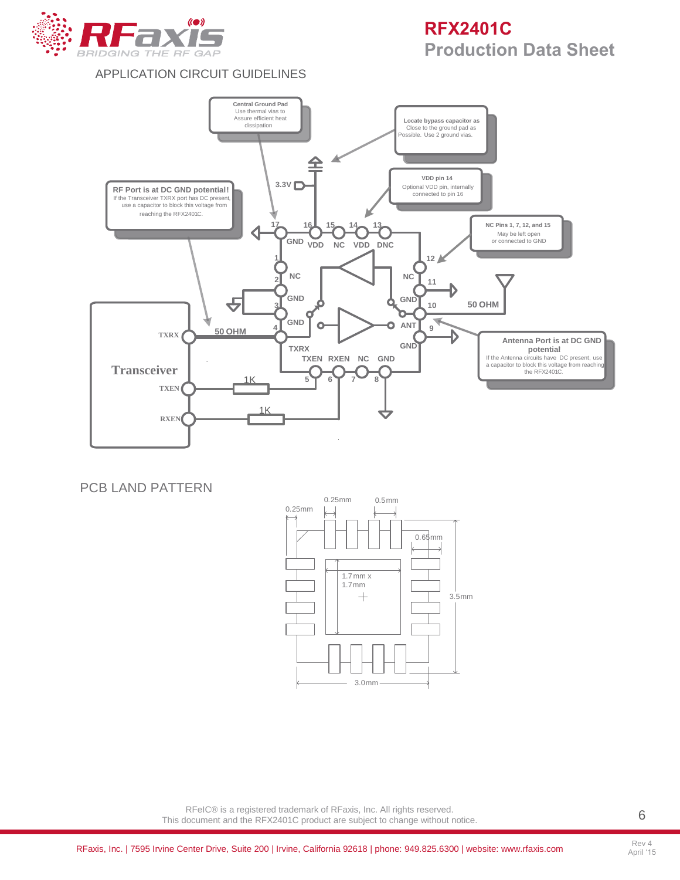

#### APPLICATION CIRCUIT GUIDELINES



PCB LAND PATTERN

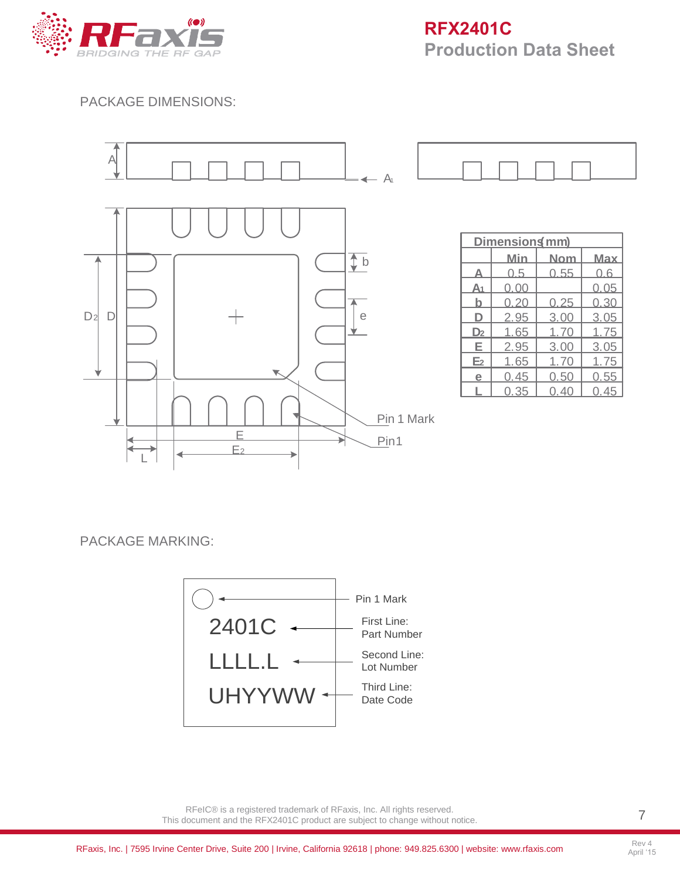

PACKAGE DIMENSIONS:



PACKAGE MARKING:

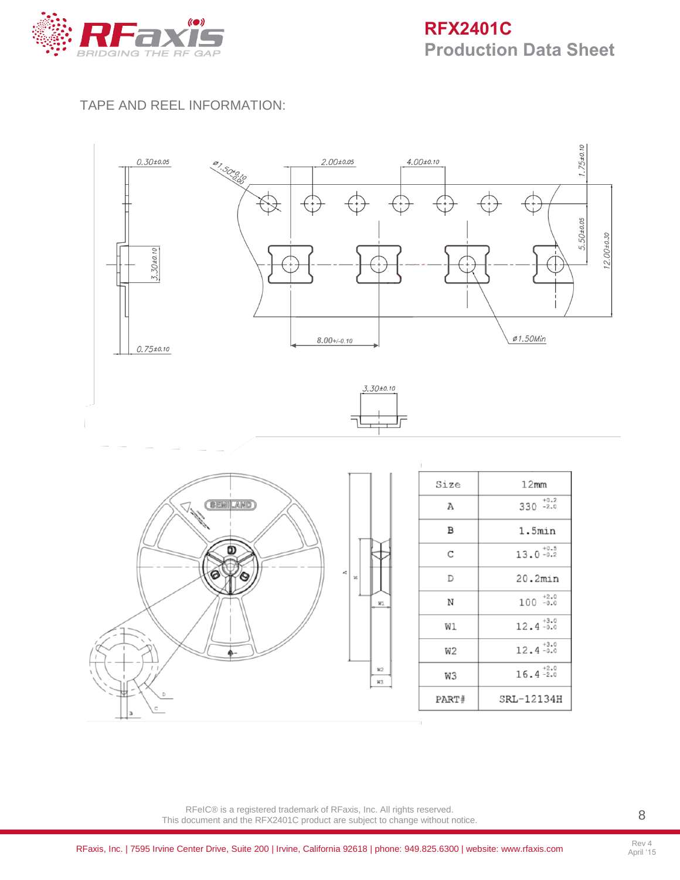

### TAPE AND REEL INFORMATION:

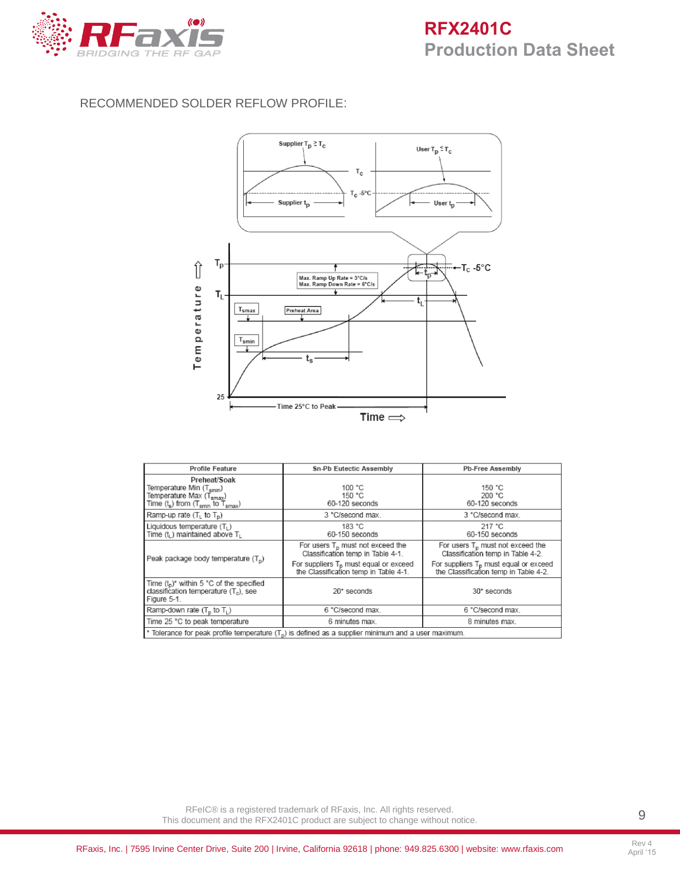

#### RECOMMENDED SOLDER REFLOW PROFILE:



| <b>Profile Feature</b>                                                                                                                       | Sn-Pb Eutectic Assembly                                                                    | <b>Pb-Free Assembly</b>                                                           |  |  |  |  |
|----------------------------------------------------------------------------------------------------------------------------------------------|--------------------------------------------------------------------------------------------|-----------------------------------------------------------------------------------|--|--|--|--|
| Preheat/Soak<br>Temperature Min (T <sub>smin</sub> )<br>Temperature Max (T <sub>smax</sub> )<br>Time $(t_s)$ from $(T_{smin}$ to $T_{smax})$ | 100 °C<br>150 °C<br>60-120 seconds                                                         | 150 °C<br>200 °C<br>60-120 seconds                                                |  |  |  |  |
| Ramp-up rate $(T_L$ to $T_D)$                                                                                                                | 3 °C/second max.                                                                           |                                                                                   |  |  |  |  |
| Liquidous temperature $(T_1)$<br>Time $(t_L)$ maintained above $T_L$                                                                         | 183 °C<br>60-150 seconds                                                                   | 217 °C<br>60-150 seconds                                                          |  |  |  |  |
| Peak package body temperature $(T_n)$                                                                                                        | For users $T_p$ must not exceed the<br>Classification temp in Table 4-1.                   | For users $T_p$ must not exceed the<br>Classification temp in Table 4-2.          |  |  |  |  |
|                                                                                                                                              | For suppliers T <sub>p</sub> must equal or exceed<br>the Classification temp in Table 4-1. | For suppliers $T_p$ must equal or exceed<br>the Classification temp in Table 4-2. |  |  |  |  |
| Time $(t_0)^*$ within 5 °C of the specified<br>classification temperature $(T_c)$ , see<br>Figure 5-1.                                       | 20 <sup>*</sup> seconds                                                                    | 30* seconds                                                                       |  |  |  |  |
| Ramp-down rate $(T_n$ to $T_1$ )                                                                                                             | 6 °C/second max.                                                                           | 6 °C/second max.                                                                  |  |  |  |  |
| Time 25 °C to peak temperature                                                                                                               | 6 minutes max.<br>8 minutes max.                                                           |                                                                                   |  |  |  |  |
| * Tolerance for peak profile temperature $(T_n)$ is defined as a supplier minimum and a user maximum.                                        |                                                                                            |                                                                                   |  |  |  |  |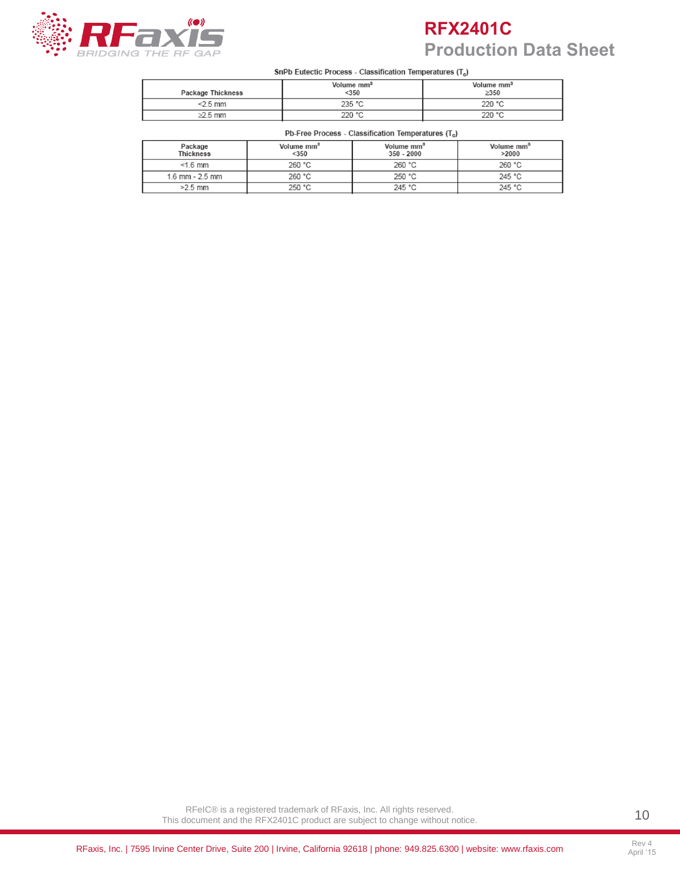

#### SnPb Eutectic Process - Classification Temperatures (T<sub>c</sub>)

| Package Thickness | Volume mm <sup>3</sup><br>$<$ 350 | Volume mm <sup>3</sup><br>>350 |
|-------------------|-----------------------------------|--------------------------------|
| $<$ 2.5 mm        | 235 °C                            | 220 °C                         |
| $\geq$ 2.5 mm     | 220 °C                            | 220 °C                         |

#### Pb-Free Process - Classification Temperatures (T<sub>c</sub>)

| Package<br><b>Thickness</b> | Volume mm <sup>3</sup><br>$350$ | Volume mm <sup>3</sup><br>$350 - 2000$ | Volume mm <sup>3</sup><br>>2000 |
|-----------------------------|---------------------------------|----------------------------------------|---------------------------------|
| $<$ 1.6 mm                  | 260 °C                          | 260 °C                                 | 260 °C                          |
| $1.6$ mm - $2.5$ mm         | 260 °C                          | 250 °C                                 | 245 °C                          |
| $>2.5$ mm                   | 250 °C                          | 245 °C                                 | 245 °C                          |